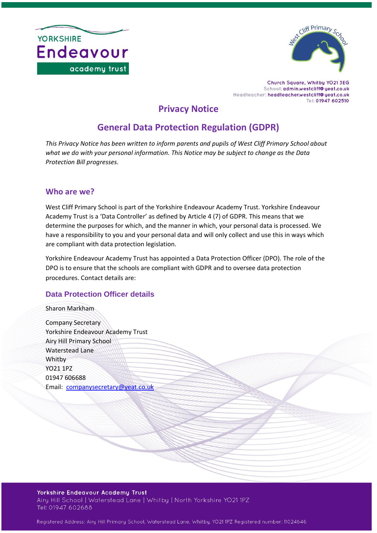



Church Square, Whitby YO21 3EG School: admin.westcliff@yeat.co.uk Headteacher: headteacher.westcliff@yeat.co.uk Tel: 01947 602510

## **Privacy Notice**

# **General Data Protection Regulation (GDPR)**

*This Privacy Notice has been written to inform parents and pupils of West Cliff Primary School about what we do with your personal information. This Notice may be subject to change as the Data Protection Bill progresses.*

## **Who are we?**

West Cliff Primary School is part of the Yorkshire Endeavour Academy Trust. Yorkshire Endeavour Academy Trust is a 'Data Controller' as defined by Article 4 (7) of GDPR. This means that we determine the purposes for which, and the manner in which, your personal data is processed. We have a responsibility to you and your personal data and will only collect and use this in ways which are compliant with data protection legislation.

Yorkshire Endeavour Academy Trust has appointed a Data Protection Officer (DPO). The role of the DPO is to ensure that the schools are compliant with GDPR and to oversee data protection procedures. Contact details are:

## **Data Protection Officer details**

Sharon Markham

Company Secretary Yorkshire Endeavour Academy Trust Airy Hill Primary School Waterstead Lane Whitby YO21 1PZ 01947 606688 Email: [companysecretary@yeat.co.uk](mailto:companysecretary@yeat.co.uk)

#### Yorkshire Endeavour Academy Trust Airy Hill School | Waterstead Lane | Whitby | North Yorkshire YO21 1PZ Tel: 01947 602688

Registered Address: Airy Hill Primary School, Waterstead Lane, Whitby, YO21 1PZ Registered number: 11024646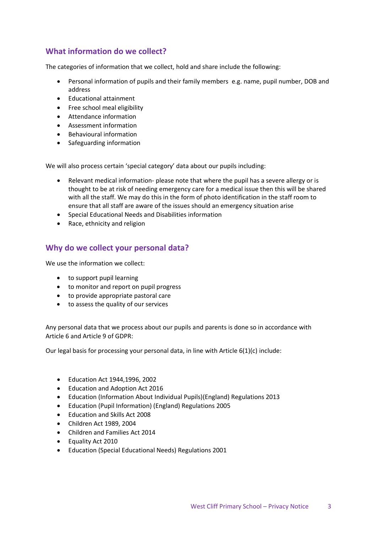## **What information do we collect?**

The categories of information that we collect, hold and share include the following:

- Personal information of pupils and their family members e.g. name, pupil number, DOB and address
- Educational attainment
- Free school meal eligibility
- Attendance information
- Assessment information
- Behavioural information
- Safeguarding information

We will also process certain 'special category' data about our pupils including:

- Relevant medical information- please note that where the pupil has a severe allergy or is thought to be at risk of needing emergency care for a medical issue then this will be shared with all the staff. We may do this in the form of photo identification in the staff room to ensure that all staff are aware of the issues should an emergency situation arise
- Special Educational Needs and Disabilities information
- Race, ethnicity and religion

#### **Why do we collect your personal data?**

We use the information we collect:

- to support pupil learning
- to monitor and report on pupil progress
- to provide appropriate pastoral care
- to assess the quality of our services

Any personal data that we process about our pupils and parents is done so in accordance with Article 6 and Article 9 of GDPR:

Our legal basis for processing your personal data, in line with Article 6(1)(c) include:

- Education Act 1944,1996, 2002
- Education and Adoption Act 2016
- Education (Information About Individual Pupils)(England) Regulations 2013
- Education (Pupil Information) (England) Regulations 2005
- Education and Skills Act 2008
- Children Act 1989, 2004
- Children and Families Act 2014
- Equality Act 2010
- Education (Special Educational Needs) Regulations 2001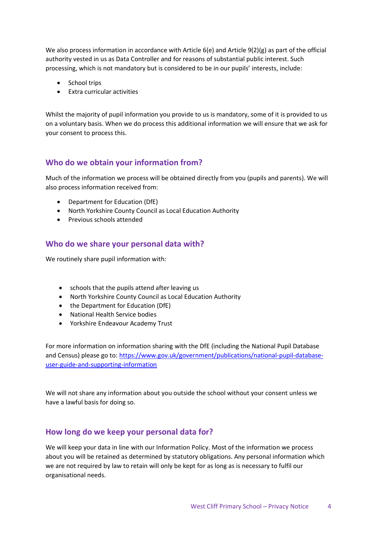We also process information in accordance with Article 6(e) and Article 9(2)(g) as part of the official authority vested in us as Data Controller and for reasons of substantial public interest. Such processing, which is not mandatory but is considered to be in our pupils' interests, include:

- School trips
- Extra curricular activities

Whilst the majority of pupil information you provide to us is mandatory, some of it is provided to us on a voluntary basis. When we do process this additional information we will ensure that we ask for your consent to process this.

## **Who do we obtain your information from?**

Much of the information we process will be obtained directly from you (pupils and parents). We will also process information received from:

- Department for Education (DfE)
- North Yorkshire County Council as Local Education Authority
- Previous schools attended

### **Who do we share your personal data with?**

We routinely share pupil information with:

- schools that the pupils attend after leaving us
- North Yorkshire County Council as Local Education Authority
- the Department for Education (DfE)
- National Health Service bodies
- Yorkshire Endeavour Academy Trust

For more information on information sharing with the DfE (including the National Pupil Database and Census) please go to: [https://www.gov.uk/government/publications/national-pupil-database](https://www.gov.uk/government/publications/national-pupil-database-user-guide-and-supporting-information)[user-guide-and-supporting-information](https://www.gov.uk/government/publications/national-pupil-database-user-guide-and-supporting-information)

We will not share any information about you outside the school without your consent unless we have a lawful basis for doing so.

#### **How long do we keep your personal data for?**

We will keep your data in line with our Information Policy. Most of the information we process about you will be retained as determined by statutory obligations. Any personal information which we are not required by law to retain will only be kept for as long as is necessary to fulfil our organisational needs.